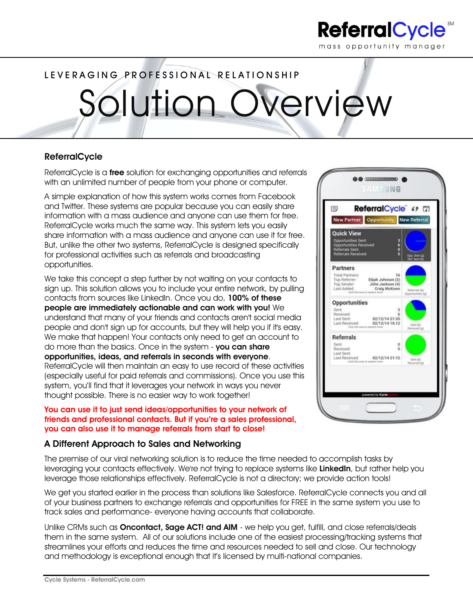

# LEVERAGING PROFESSIONAL RELATIONSHIP

Solution Overview

## **ReferralCycle**

ReferralCycle is a **free** solution for exchanging opportunities and referrals with an unlimited number of people from your phone or computer.

A simple explanation of how this system works comes from Facebook and Twitter. These systems are popular because you can easily share information with a mass audience and anyone can use them for free. ReferralCycle works much the same way. This system lets you easily share information with a mass audience and anyone can use it for free. But, unlike the other two systems, ReferralCycle is designed specifically for professional activities such as referrals and broadcasting opportunities.

We take this concept a step further by not waiting on your contacts to sign up. This solution allows you to include your entire network, by pulling contacts from sources like LinkedIn. Once you do, **100% of these people are immediately actionable and can work with you!** We understand that many of your friends and contacts aren't social media people and don't sign up for accounts, but they will help you if it's easy. We make that happen! Your contacts only need to get an account to do more than the basics. Once in the system - **you can share opportunities, ideas, and referrals in seconds with everyone**. ReferralCycle will then maintain an easy to use record of these activities (especially useful for paid referrals and commissions). Once you use this system, you'll find that it leverages your network in ways you never thought possible. There is no easier way to work together!

#### **You can use it to just send ideas/opportunities to your network of friends and professional contacts. But if you're a sales professional, you can also use it to manage referrals from start to close!**

### **A Different Approach to Sales and Networking**

The premise of our viral networking solution is to reduce the time needed to accomplish tasks by leveraging your contacts effectively. We're not trying to replace systems like **LinkedIn**, but rather help you leverage those relationships effectively. ReferralCycle is not a directory; we provide action tools!

We get you started earlier in the process than solutions like Salesforce. ReferralCycle connects you and all of your business partners to exchange referrals and opportunities for FREE in the same system you use to track sales and performance- everyone having accounts that collaborate.

Unlike CRMs such as **Oncontact, Sage ACT! and AIM** - we help you get, fulfill, and close referrals/deals them in the same system. All of our solutions include one of the easiest processing/tracking systems that streamlines your efforts and reduces the time and resources needed to sell and close. Our technology and methodology is exceptional enough that it's licensed by multi-national companies.